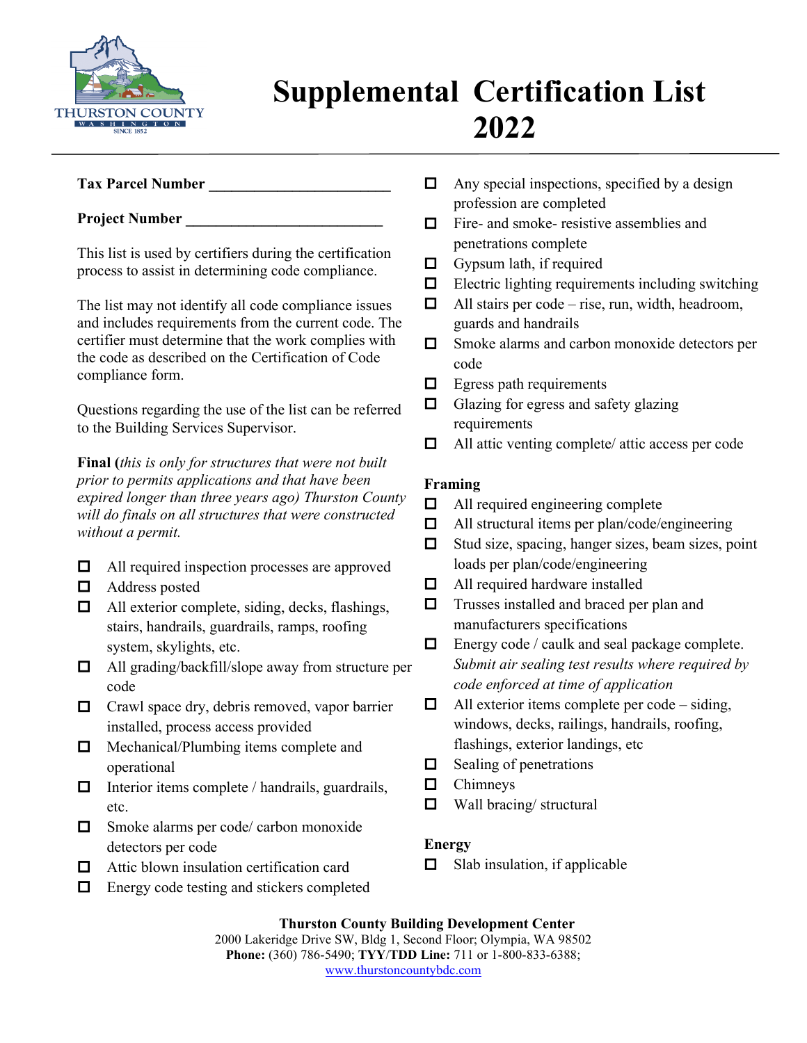

# **Supplemental Certification List 2022**

# **Tax Parcel Number \_\_\_\_\_\_\_\_\_\_\_\_\_\_\_\_\_\_\_\_\_\_\_\_**

## **Project Number**

This list is used by certifiers during the certification process to assist in determining code compliance.

The list may not identify all code compliance issues and includes requirements from the current code. The certifier must determine that the work complies with the code as described on the Certification of Code compliance form.

Questions regarding the use of the list can be referred to the Building Services Supervisor.

**Final (***this is only for structures that were not built prior to permits applications and that have been expired longer than three years ago) Thurston County will do finals on all structures that were constructed without a permit.* 

- $\Box$  All required inspection processes are approved
- □ Address posted
- $\Box$  All exterior complete, siding, decks, flashings, stairs, handrails, guardrails, ramps, roofing system, skylights, etc.
- All grading/backfill/slope away from structure per code
- $\Box$  Crawl space dry, debris removed, vapor barrier installed, process access provided
- $\Box$  Mechanical/Plumbing items complete and operational
- $\Box$  Interior items complete / handrails, guardrails, etc.
- □ Smoke alarms per code/ carbon monoxide detectors per code
- □ Attic blown insulation certification card
- $\Box$  Energy code testing and stickers completed
- $\Box$  Any special inspections, specified by a design profession are completed
- $\Box$  Fire- and smoke- resistive assemblies and penetrations complete
- $\Box$  Gypsum lath, if required
- $\Box$  Electric lighting requirements including switching
- $\Box$  All stairs per code rise, run, width, headroom, guards and handrails
- $\Box$  Smoke alarms and carbon monoxide detectors per code
- $\Box$  Egress path requirements
- $\Box$  Glazing for egress and safety glazing requirements
- $\Box$  All attic venting complete/ attic access per code

# **Framing**

- $\Box$  All required engineering complete
- $\Box$  All structural items per plan/code/engineering
- $\Box$  Stud size, spacing, hanger sizes, beam sizes, point loads per plan/code/engineering
- $\Box$  All required hardware installed
- $\Box$  Trusses installed and braced per plan and manufacturers specifications
- $\Box$  Energy code / caulk and seal package complete. *Submit air sealing test results where required by code enforced at time of application*
- $\Box$  All exterior items complete per code siding, windows, decks, railings, handrails, roofing, flashings, exterior landings, etc
- $\Box$  Sealing of penetrations
- $\Box$  Chimneys
- $\Box$  Wall bracing/ structural

# **Energy**

 $\Box$  Slab insulation, if applicable

**Thurston County Building Development Center** 2000 Lakeridge Drive SW, Bldg 1, Second Floor; Olympia, WA 98502 **Phone:** (360) 786-5490; **TYY**/**TDD Line:** 711 or 1-800-833-6388; [www.thurstoncountybdc.com](http://www.thurstoncountybdc.com/)